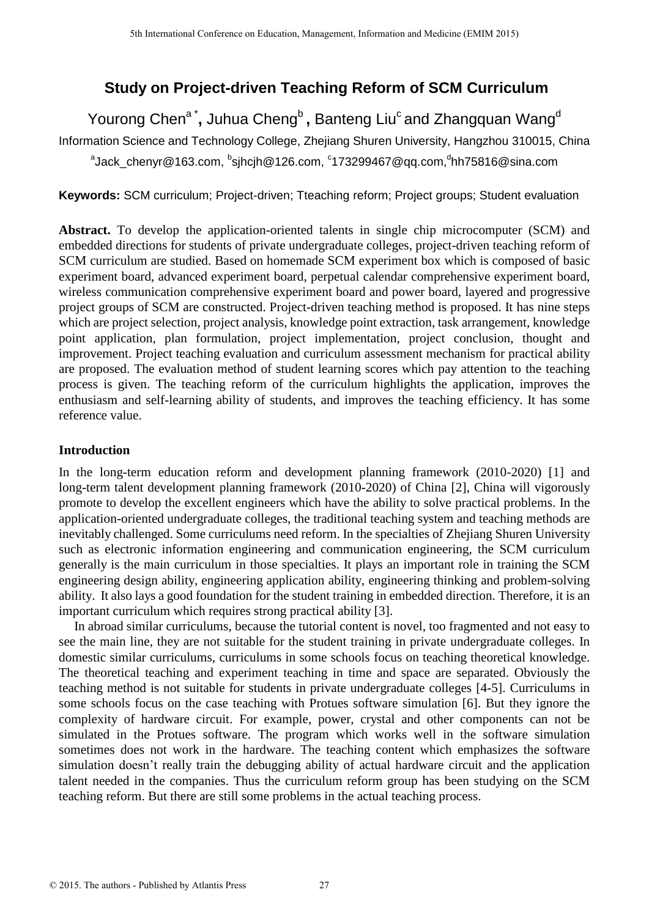# **Study on Project-driven Teaching Reform of SCM Curriculum**

Yourong Chen<sup>a\*</sup>, Juhua Cheng<sup>b</sup> , Banteng Liu<sup>c</sup> and Zhangquan Wang<sup>d</sup>

Information Science and Technology College, Zhejiang Shuren University, Hangzhou 310015, China

<sup>a</sup>Jack\_chenyr@163.com, <sup>b</sup>sjhcjh@126.com, <sup>c</sup>173299467@qq.com,<sup>d</sup>hh75816@sina.com

Keywords: SCM curriculum; Project-driven; Tteaching reform; Project groups; Student evaluation

**Abstract.** To develop the application-oriented talents in single chip microcomputer (SCM) and embedded directions for students of private undergraduate colleges, project-driven teaching reform of SCM curriculum are studied. Based on homemade SCM experiment box which is composed of basic experiment board, advanced experiment board, perpetual calendar comprehensive experiment board, wireless communication comprehensive experiment board and power board, layered and progressive project groups of SCM are constructed. Project-driven teaching method is proposed. It has nine steps which are project selection, project analysis, knowledge point extraction, task arrangement, knowledge point application, plan formulation, project implementation, project conclusion, thought and improvement. Project teaching evaluation and curriculum assessment mechanism for practical ability are proposed. The evaluation method of student learning scores which pay attention to the teaching process is given. The teaching reform of the curriculum highlights the application, improves the enthusiasm and self-learning ability of students, and improves the teaching efficiency. It has some reference value.

# **Introduction**

In the long-term education reform and development planning framework (2010-2020) [1] and long-term talent development planning framework (2010-2020) of China [2], China will vigorously promote to develop the excellent engineers which have the ability to solve practical problems. In the application-oriented undergraduate colleges, the traditional teaching system and teaching methods are inevitably challenged. Some curriculums need reform. In the specialties of Zhejiang Shuren University such as electronic information engineering and communication engineering, the SCM curriculum generally is the main curriculum in those specialties. It plays an important role in training the SCM engineering design ability, engineering application ability, engineering thinking and problem-solving ability. It also lays a good foundation for the student training in embedded direction. Therefore, it is an important curriculum which requires strong practical ability [3].

In abroad similar curriculums, because the tutorial content is novel, too fragmented and not easy to see the main line, they are not suitable for the student training in private undergraduate colleges. In domestic similar curriculums, curriculums in some schools focus on teaching theoretical knowledge. The theoretical teaching and experiment teaching in time and space are separated. Obviously the teaching method is not suitable for students in private undergraduate colleges [4-5]. Curriculums in some schools focus on the case teaching with Protues software simulation [6]. But they ignore the complexity of hardware circuit. For example, power, crystal and other components can not be simulated in the Protues software. The program which works well in the software simulation sometimes does not work in the hardware. The teaching content which emphasizes the software simulation doesn't really train the debugging ability of actual hardware circuit and the application talent needed in the companies. Thus the curriculum reform group has been studying on the SCM teaching reform. But there are still some problems in the actual teaching process.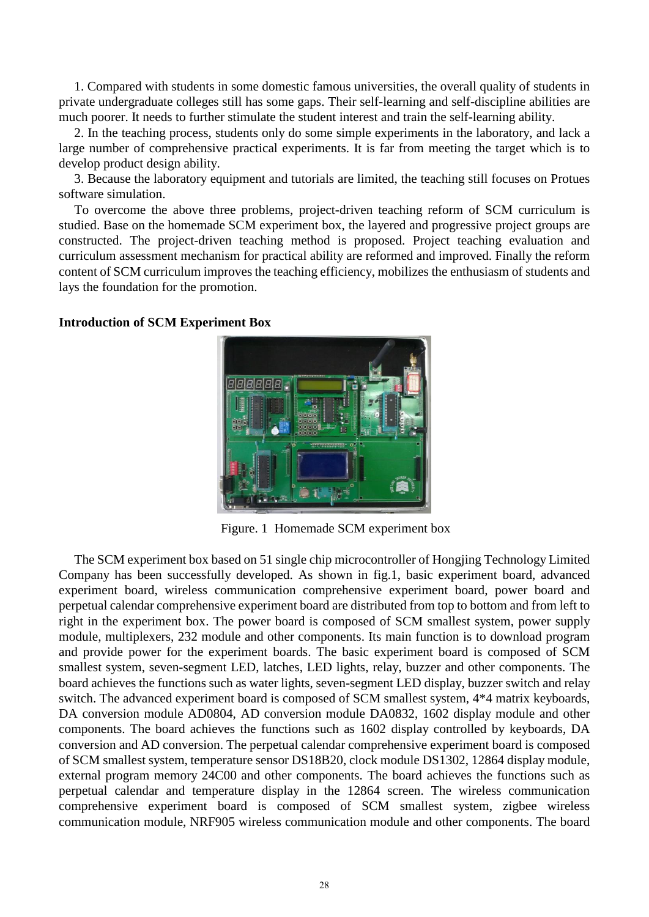1. Compared with students in some domestic famous universities, the overall quality of students in private undergraduate colleges still has some gaps. Their self-learning and self-discipline abilities are much poorer. It needs to further stimulate the student interest and train the self-learning ability.

2. In the teaching process, students only do some simple experiments in the laboratory, and lack a large number of comprehensive practical experiments. It is far from meeting the target which is to develop product design ability.

3. Because the laboratory equipment and tutorials are limited, the teaching still focuses on Protues software simulation.

To overcome the above three problems, project-driven teaching reform of SCM curriculum is studied. Base on the homemade SCM experiment box, the layered and progressive project groups are constructed. The project-driven teaching method is proposed. Project teaching evaluation and curriculum assessment mechanism for practical ability are reformed and improved. Finally the reform content of SCM curriculum improves the teaching efficiency, mobilizes the enthusiasm of students and lays the foundation for the promotion.

#### **Introduction of SCM Experiment Box**



Figure. 1 Homemade SCM experiment box

The SCM experiment box based on 51 single chip microcontroller of Hongjing Technology Limited Company has been successfully developed. As shown in fig.1, basic experiment board, advanced experiment board, wireless communication comprehensive experiment board, power board and perpetual calendar comprehensive experiment board are distributed from top to bottom and from left to right in the experiment box. The power board is composed of SCM smallest system, power supply module, multiplexers, 232 module and other components. Its main function is to download program and provide power for the experiment boards. The basic experiment board is composed of SCM smallest system, seven-segment LED, latches, LED lights, relay, buzzer and other components. The board achieves the functions such as water lights, seven-segment LED display, buzzer switch and relay switch. The advanced experiment board is composed of SCM smallest system, 4\*4 matrix keyboards, DA conversion module AD0804, AD conversion module DA0832, 1602 display module and other components. The board achieves the functions such as 1602 display controlled by keyboards, DA conversion and AD conversion. The perpetual calendar comprehensive experiment board is composed of SCM smallest system, temperature sensor DS18B20, clock module DS1302, 12864 display module, external program memory 24C00 and other components. The board achieves the functions such as perpetual calendar and temperature display in the 12864 screen. The wireless communication comprehensive experiment board is composed of SCM smallest system, zigbee wireless communication module, NRF905 wireless communication module and other components. The board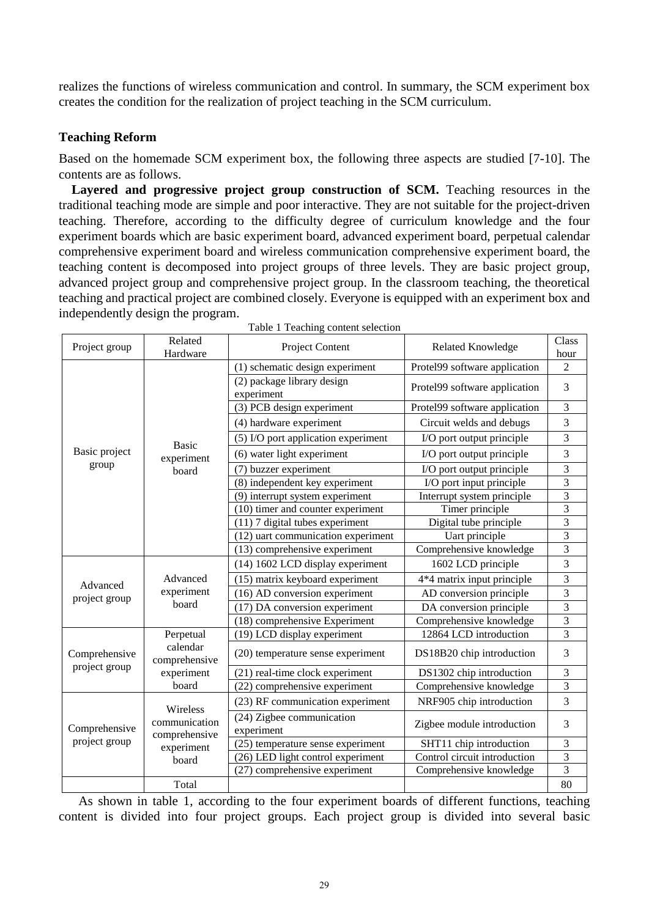realizes the functions of wireless communication and control. In summary, the SCM experiment box creates the condition for the realization of project teaching in the SCM curriculum.

### **Teaching Reform**

Based on the homemade SCM experiment box, the following three aspects are studied [7-10]. The contents are as follows.

Layered and progressive project group construction of SCM. Teaching resources in the traditional teaching mode are simple and poor interactive. They are not suitable for the project-driven teaching. Therefore, according to the difficulty degree of curriculum knowledge and the four experiment boards which are basic experiment board, advanced experiment board, perpetual calendar comprehensive experiment board and wireless communication comprehensive experiment board, the teaching content is decomposed into project groups of three levels. They are basic project group, advanced project group and comprehensive project group. In the classroom teaching, the theoretical teaching and practical project are combined closely. Everyone is equipped with an experiment box and independently design the program.

| Project group                  | Related<br>Hardware                                               | Project Content                                                   | <b>Related Knowledge</b>              | Class<br>hour           |
|--------------------------------|-------------------------------------------------------------------|-------------------------------------------------------------------|---------------------------------------|-------------------------|
| Basic project<br>group         | <b>Basic</b><br>experiment<br>board                               | (1) schematic design experiment                                   | Protel99 software application         | $\overline{2}$          |
|                                |                                                                   | (2) package library design<br>experiment                          | Protel99 software application         | 3                       |
|                                |                                                                   | (3) PCB design experiment                                         | Protel99 software application         | 3                       |
|                                |                                                                   | (4) hardware experiment<br>Circuit welds and debugs               |                                       | 3                       |
|                                |                                                                   | (5) I/O port application experiment<br>I/O port output principle  |                                       | 3                       |
|                                |                                                                   | (6) water light experiment                                        | I/O port output principle             | $\overline{3}$          |
|                                |                                                                   | (7) buzzer experiment                                             | I/O port output principle             | 3                       |
|                                |                                                                   | (8) independent key experiment                                    | $\overline{I/O}$ port input principle | $\overline{3}$          |
|                                |                                                                   | (9) interrupt system experiment                                   | Interrupt system principle            | 3                       |
|                                |                                                                   | (10) timer and counter experiment                                 | Timer principle                       | 3                       |
|                                |                                                                   | $(11)$ 7 digital tubes experiment                                 | Digital tube principle                | 3                       |
|                                |                                                                   | (12) uart communication experiment                                | Uart principle                        | $\overline{3}$          |
|                                |                                                                   | (13) comprehensive experiment                                     | Comprehensive knowledge               | 3                       |
| Advanced<br>project group      | Advanced<br>experiment<br>board                                   | (14) 1602 LCD display experiment                                  | 1602 LCD principle                    | 3                       |
|                                |                                                                   | (15) matrix keyboard experiment                                   | 4*4 matrix input principle            | 3                       |
|                                |                                                                   | (16) AD conversion experiment                                     | AD conversion principle               | $\overline{3}$          |
|                                |                                                                   | (17) DA conversion experiment                                     | DA conversion principle               | 3                       |
|                                |                                                                   | (18) comprehensive Experiment                                     | Comprehensive knowledge               | $\overline{\mathbf{3}}$ |
|                                | Perpetual                                                         | (19) LCD display experiment                                       | 12864 LCD introduction                | 3                       |
| Comprehensive<br>project group | calendar<br>comprehensive<br>experiment                           | (20) temperature sense experiment                                 | DS18B20 chip introduction             | 3                       |
|                                |                                                                   | (21) real-time clock experiment                                   | DS1302 chip introduction              | 3                       |
|                                | board                                                             | (22) comprehensive experiment                                     | Comprehensive knowledge               | $\overline{3}$          |
|                                | Wireless<br>communication<br>comprehensive<br>experiment<br>board | (23) RF communication experiment                                  | NRF905 chip introduction              | 3                       |
| Comprehensive<br>project group |                                                                   | (24) Zigbee communication<br>experiment                           | Zigbee module introduction            | 3                       |
|                                |                                                                   | (25) temperature sense experiment                                 | SHT11 chip introduction               | 3                       |
|                                |                                                                   | Control circuit introduction<br>(26) LED light control experiment |                                       | 3                       |
|                                |                                                                   | (27) comprehensive experiment                                     | Comprehensive knowledge               | 3                       |
|                                | Total                                                             |                                                                   |                                       | 80                      |

Table 1 Teaching content selection

As shown in table 1, according to the four experiment boards of different functions, teaching content is divided into four project groups. Each project group is divided into several basic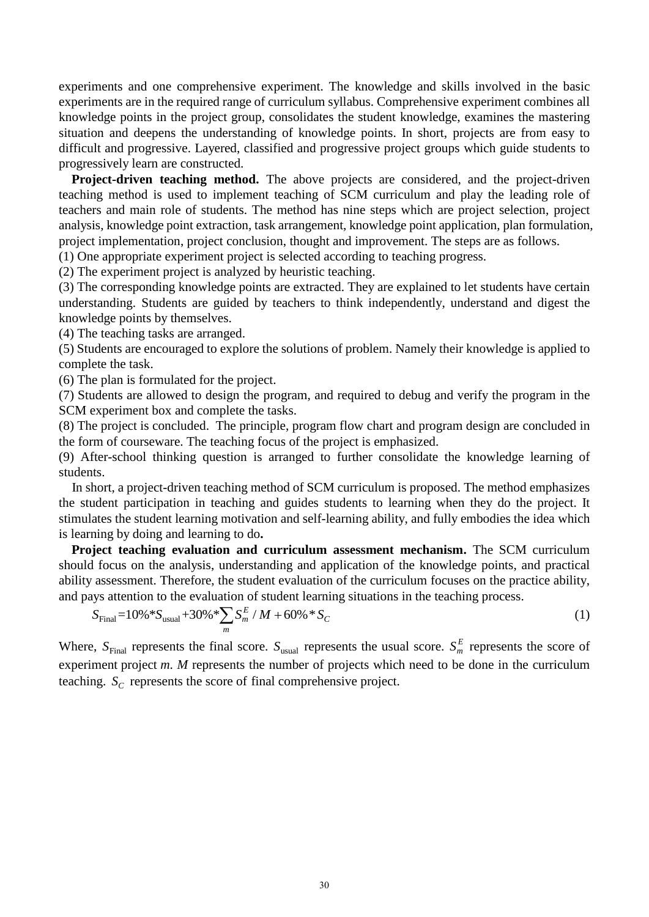experiments and one comprehensive experiment. The knowledge and skills involved in the basic experiments are in the required range of curriculum syllabus. Comprehensive experiment combines all knowledge points in the project group, consolidates the student knowledge, examines the mastering situation and deepens the understanding of knowledge points. In short, projects are from easy to difficult and progressive. Layered, classified and progressive project groups which guide students to progressively learn are constructed.

**Project-driven teaching method.** The above projects are considered, and the project-driven teaching method is used to implement teaching of SCM curriculum and play the leading role of teachers and main role of students. The method has nine steps which are project selection, project analysis, knowledge point extraction, task arrangement, knowledge point application, plan formulation, project implementation, project conclusion, thought and improvement. The steps are as follows.

(1) One appropriate experiment project is selected according to teaching progress.

(2) The experiment project is analyzed by heuristic teaching.

(3) The corresponding knowledge points are extracted. They are explained to let students have certain understanding. Students are guided by teachers to think independently, understand and digest the knowledge points by themselves.

(4) The teaching tasks are arranged.

(5) Students are encouraged to explore the solutions of problem. Namely their knowledge is applied to complete the task.

(6) The plan is formulated for the project.

(7) Students are allowed to design the program, and required to debug and verify the program in the SCM experiment box and complete the tasks.

(8) The project is concluded. The principle, program flow chart and program design are concluded in the form of courseware. The teaching focus of the project is emphasized.

(9) After-school thinking question is arranged to further consolidate the knowledge learning of students.

In short, a project-driven teaching method of SCM curriculum is proposed. The method emphasizes the student participation in teaching and guides students to learning when they do the project. It stimulates the student learning motivation and self-learning ability, and fully embodies the idea which is learning by doing and learning to do**.**

**Project teaching evaluation and curriculum assessment mechanism.** The SCM curriculum should focus on the analysis, understanding and application of the knowledge points, and practical ability assessment. Therefore, the student evaluation of the curriculum focuses on the practice ability,

and pays attention to the evaluation of student learning situations in the teaching process.  
\n
$$
S_{\text{Final}} = 10\% * S_{\text{usual}} + 30\% * \sum_{m} S_{m}^{E} / M + 60\% * S_{c}
$$
\n(1)

Where,  $S_{\text{Final}}$  represents the final score.  $S_{\text{usual}}$  represents the usual score.  $S_m^E$  represents the score of experiment project *m*. *M* represents the number of projects which need to be done in the curriculum teaching.  $S_C$  represents the score of final comprehensive project.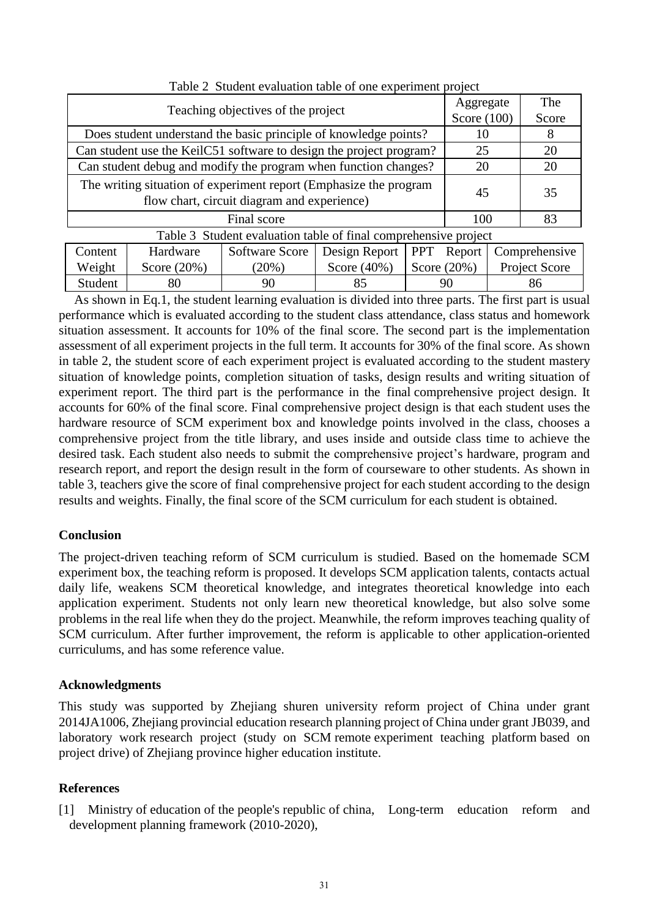| Teaching objectives of the project                                                                               | Aggregate     | The   |  |  |  |  |  |  |
|------------------------------------------------------------------------------------------------------------------|---------------|-------|--|--|--|--|--|--|
|                                                                                                                  | Score $(100)$ | Score |  |  |  |  |  |  |
| Does student understand the basic principle of knowledge points?                                                 | 10            | 8     |  |  |  |  |  |  |
| Can student use the KeilC51 software to design the project program?                                              | 25            | 20    |  |  |  |  |  |  |
| Can student debug and modify the program when function changes?                                                  | 20            | 20    |  |  |  |  |  |  |
| The writing situation of experiment report (Emphasize the program<br>flow chart, circuit diagram and experience) | 45            | 35    |  |  |  |  |  |  |
| Final score                                                                                                      | 100           | 83    |  |  |  |  |  |  |
| Table 3 Student evaluation table of final comprehensive project                                                  |               |       |  |  |  |  |  |  |
| $- - -$                                                                                                          |               |       |  |  |  |  |  |  |

Table 2 Student evaluation table of one experiment project

| Table 5 Buddhi Cyanaanon table of final complements to project |                |          |                |                |                                                             |  |  |  |
|----------------------------------------------------------------|----------------|----------|----------------|----------------|-------------------------------------------------------------|--|--|--|
| Content                                                        | Hardware       |          |                |                | Software Score   Design Report   PPT Report   Comprehensive |  |  |  |
| Weight                                                         | Score $(20\%)$ | $(20\%)$ | Score $(40\%)$ | Score $(20\%)$ | <b>Project Score</b>                                        |  |  |  |
| Student                                                        |                | 90       | 85             | 90             | 86                                                          |  |  |  |
|                                                                |                |          |                |                |                                                             |  |  |  |

As shown in Eq.1, the student learning evaluation is divided into three parts. The first part is usual performance which is evaluated according to the student class attendance, class status and homework situation assessment. It accounts for 10% of the final score. The second part is the implementation assessment of all experiment projects in the full term. It accounts for 30% of the final score. As shown in table 2, the student score of each experiment project is evaluated according to the student mastery situation of knowledge points, completion situation of tasks, design results and writing situation of experiment report. The third part is the performance in the final comprehensive project design. It accounts for 60% of the final score. Final comprehensive project design is that each student uses the hardware resource of SCM experiment box and knowledge points involved in the class, chooses a comprehensive project from the title library, and uses inside and outside class time to achieve the desired task. Each student also needs to submit the comprehensive project's hardware, program and research report, and report the design result in the form of courseware to other students. As shown in table 3, teachers give the score of final comprehensive project for each student according to the design results and weights. Finally, the final score of the SCM curriculum for each student is obtained.

# **Conclusion**

The project-driven teaching reform of SCM curriculum is studied. Based on the homemade SCM experiment box, the teaching reform is proposed. It develops SCM application talents, contacts actual daily life, weakens SCM theoretical knowledge, and integrates theoretical knowledge into each application experiment. Students not only learn new theoretical knowledge, but also solve some problems in the real life when they do the project. Meanwhile, the reform improves teaching quality of SCM curriculum. After further improvement, the reform is applicable to other application-oriented curriculums, and has some reference value.

# **Acknowledgments**

This study was supported by Zhejiang shuren university reform project of China under grant 2014JA1006, Zhejiang provincial education research planning project of China under grant JB039, and laboratory work research project (study on SCM remote experiment teaching platform based on project drive) of Zhejiang province higher education institute.

# **References**

[1] Ministry of education of the people's republic of china, Long-term education reform and development planning framework (2010-2020),